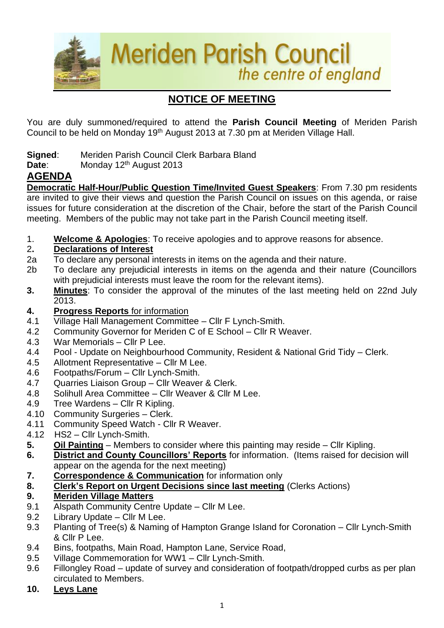

# **NOTICE OF MEETING**

You are duly summoned/required to attend the **Parish Council Meeting** of Meriden Parish Council to be held on Monday 19<sup>th</sup> August 2013 at 7.30 pm at Meriden Village Hall.

- **Signed**: Meriden Parish Council Clerk Barbara Bland
- **Date:** Monday 12<sup>th</sup> August 2013

## **AGENDA**

**Democratic Half-Hour/Public Question Time/Invited Guest Speakers**: From 7.30 pm residents are invited to give their views and question the Parish Council on issues on this agenda, or raise issues for future consideration at the discretion of the Chair, before the start of the Parish Council meeting. Members of the public may not take part in the Parish Council meeting itself.

1. **Welcome & Apologies**: To receive apologies and to approve reasons for absence.

### 2**. Declarations of Interest**

- 2a To declare any personal interests in items on the agenda and their nature.
- 2b To declare any prejudicial interests in items on the agenda and their nature (Councillors with prejudicial interests must leave the room for the relevant items).
- **3. Minutes**: To consider the approval of the minutes of the last meeting held on 22nd July 2013.
- **4. Progress Reports** for information
- 4.1 Village Hall Management Committee Cllr F Lynch-Smith.
- 4.2 Community Governor for Meriden C of E School Cllr R Weaver.
- 4.3 War Memorials Cllr P Lee.
- 4.4 Pool Update on Neighbourhood Community, Resident & National Grid Tidy Clerk.
- 4.5 Allotment Representative Cllr M Lee.
- 4.6 Footpaths/Forum Cllr Lynch-Smith.
- 4.7 Quarries Liaison Group Cllr Weaver & Clerk.
- 4.8 Solihull Area Committee Cllr Weaver & Cllr M Lee.
- 4.9 Tree Wardens Cllr R Kipling.
- 4.10 Community Surgeries Clerk.
- 4.11 Community Speed Watch Cllr R Weaver.
- 4.12 HS2 Cllr Lynch-Smith.
- **5. Oil Painting** Members to consider where this painting may reside Cllr Kipling.
- **6. District and County Councillors' Reports** for information. (Items raised for decision will appear on the agenda for the next meeting)
- **7. Correspondence & Communication** for information only
- **8. Clerk's Report on Urgent Decisions since last meeting** (Clerks Actions)

### **9. Meriden Village Matters**

- 9.1 Alspath Community Centre Update Cllr M Lee.
- 9.2 Library Update Cllr M Lee.
- 9.3 Planting of Tree(s) & Naming of Hampton Grange Island for Coronation Cllr Lynch-Smith & Cllr P Lee.
- 9.4 Bins, footpaths, Main Road, Hampton Lane, Service Road,
- 9.5 Village Commemoration for WW1 Cllr Lynch-Smith.
- 9.6 Fillongley Road update of survey and consideration of footpath/dropped curbs as per plan circulated to Members.
- **10. Leys Lane**